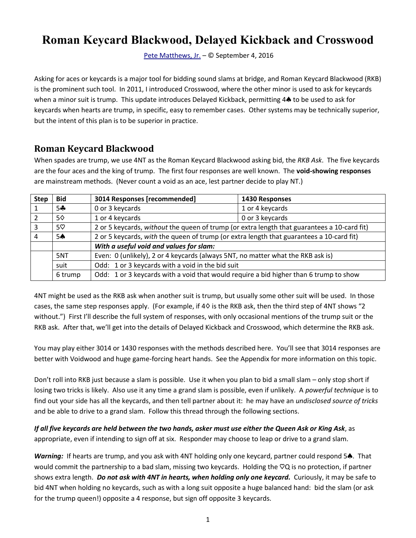# **Roman Keycard Blackwood, Delayed Kickback and Crosswood**

[Pete Matthews, Jr.](mailto:pete.3nt@gmail.com?subject=Crosswood) – © September 4, 2016

Asking for aces or keycards is a major tool for bidding sound slams at bridge, and Roman Keycard Blackwood (RKB) is the prominent such tool. In 2011, I introduced Crosswood, where the other minor is used to ask for keycards when a minor suit is trump. This update introduces Delayed Kickback, permitting  $4\spadesuit$  to be used to ask for keycards when hearts are trump, in specific, easy to remember cases. Other systems may be technically superior, but the intent of this plan is to be superior in practice.

### **Roman Keycard Blackwood**

When spades are trump, we use 4NT as the Roman Keycard Blackwood asking bid, the *RKB Ask*. The five keycards are the four aces and the king of trump. The first four responses are well known. The **void-showing responses** are mainstream methods. (Never count a void as an ace, lest partner decide to play NT.)

| <b>Step</b>    | <b>Bid</b>   | 3014 Responses [recommended]                                                                | 1430 Responses  |  |
|----------------|--------------|---------------------------------------------------------------------------------------------|-----------------|--|
|                | $5 -$        | 0 or 3 keycards                                                                             | 1 or 4 keycards |  |
| $\overline{2}$ | $5\diamond$  | 1 or 4 keycards<br>0 or 3 keycards                                                          |                 |  |
| 3              | $50^{\circ}$ | 2 or 5 keycards, without the queen of trump (or extra length that guarantees a 10-card fit) |                 |  |
| 4              | <b>5Å</b>    | 2 or 5 keycards, with the queen of trump (or extra length that guarantees a 10-card fit)    |                 |  |
|                |              | With a useful void and values for slam:                                                     |                 |  |
|                | 5NT          | Even: 0 (unlikely), 2 or 4 keycards (always 5NT, no matter what the RKB ask is)             |                 |  |
|                | suit         | Odd: 1 or 3 keycards with a void in the bid suit                                            |                 |  |
|                | 6 trump      | Odd: 1 or 3 keycards with a void that would require a bid higher than 6 trump to show       |                 |  |

4NT might be used as the RKB ask when another suit is trump, but usually some other suit will be used. In those cases, the same step responses apply. (For example, if  $4\diamond$  is the RKB ask, then the third step of 4NT shows "2 without.") First I'll describe the full system of responses, with only occasional mentions of the trump suit or the RKB ask. After that, we'll get into the details of Delayed Kickback and Crosswood, which determine the RKB ask.

You may play either 3014 or 1430 responses with the methods described here. You'll see that 3014 responses are better with Voidwood and huge game-forcing heart hands. See the Appendix for more information on this topic.

Don't roll into RKB just because a slam is possible. Use it when you plan to bid a small slam – only stop short if losing two tricks is likely. Also use it any time a grand slam is possible, even if unlikely. A *powerful technique* is to find out your side has all the keycards, and then tell partner about it: he may have an *undisclosed source of tricks* and be able to drive to a grand slam. Follow this thread through the following sections.

*If all five keycards are held between the two hands, asker must use either the Queen Ask or King Ask*, as appropriate, even if intending to sign off at six. Responder may choose to leap or drive to a grand slam.

*Warning:* If hearts are trump, and you ask with 4NT holding only one keycard, partner could respond 5<sup>4</sup>. That would commit the partnership to a bad slam, missing two keycards. Holding the  $\heartsuit Q$  is no protection, if partner shows extra length. *Do not ask with 4NT in hearts, when holding only one keycard.* Curiously, it may be safe to bid 4NT when holding no keycards, such as with a long suit opposite a huge balanced hand: bid the slam (or ask for the trump queen!) opposite a 4 response, but sign off opposite 3 keycards.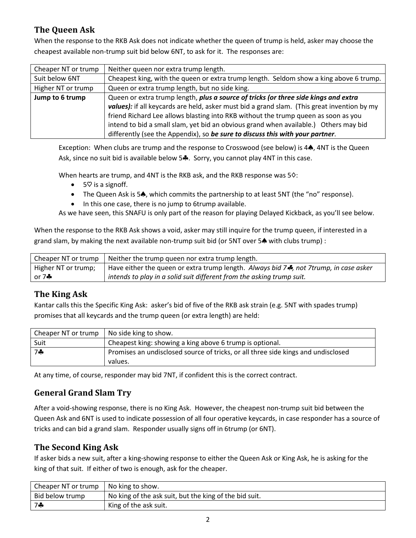## **The Queen Ask**

When the response to the RKB Ask does not indicate whether the queen of trump is held, asker may choose the cheapest available non-trump suit bid below 6NT, to ask for it. The responses are:

| Cheaper NT or trump | Neither queen nor extra trump length.                                                       |
|---------------------|---------------------------------------------------------------------------------------------|
| Suit below 6NT      | Cheapest king, with the queen or extra trump length. Seldom show a king above 6 trump.      |
| Higher NT or trump  | Queen or extra trump length, but no side king.                                              |
| Jump to 6 trump     | Queen or extra trump length, plus a source of tricks (or three side kings and extra         |
|                     | values): if all keycards are held, asker must bid a grand slam. (This great invention by my |
|                     | friend Richard Lee allows blasting into RKB without the trump queen as soon as you          |
|                     | intend to bid a small slam, yet bid an obvious grand when available.) Others may bid        |
|                     | differently (see the Appendix), so be sure to discuss this with your partner.               |

Exception: When clubs are trump and the response to Crosswood (see below) is 4 $\spadesuit$ , 4NT is the Queen Ask, since no suit bid is available below  $5\clubsuit$ . Sorry, you cannot play 4NT in this case.

When hearts are trump, and 4NT is the RKB ask, and the RKB response was 50:

- $\bullet$  5 $\heartsuit$  is a signoff.
- The Queen Ask is 54, which commits the partnership to at least 5NT (the "no" response).
- In this one case, there is no jump to 6trump available.

As we have seen, this SNAFU is only part of the reason for playing Delayed Kickback, as you'll see below.

When the response to the RKB Ask shows a void, asker may still inquire for the trump queen, if interested in a grand slam, by making the next available non-trump suit bid (or 5NT over  $5\spadesuit$  with clubs trump) :

|                     | Cheaper NT or trump   Neither the trump queen nor extra trump length.                 |
|---------------------|---------------------------------------------------------------------------------------|
| Higher NT or trump; | Have either the queen or extra trump length. Always bid 7♣, not 7trump, in case asker |
| or 7♣               | $\frac{1}{2}$ intends to play in a solid suit different from the asking trump suit.   |

### **The King Ask**

Kantar calls this the Specific King Ask: asker's bid of five of the RKB ask strain (e.g. 5NT with spades trump) promises that all keycards and the trump queen (or extra length) are held:

| Cheaper NT or trump | No side king to show.                                                                        |
|---------------------|----------------------------------------------------------------------------------------------|
| Suit                | Cheapest king: showing a king above 6 trump is optional.                                     |
| 74                  | Promises an undisclosed source of tricks, or all three side kings and undisclosed<br>values. |

At any time, of course, responder may bid 7NT, if confident this is the correct contract.

### **General Grand Slam Try**

After a void-showing response, there is no King Ask. However, the cheapest non-trump suit bid between the Queen Ask and 6NT is used to indicate possession of all four operative keycards, in case responder has a source of tricks and can bid a grand slam. Responder usually signs off in 6trump (or 6NT).

### **The Second King Ask**

If asker bids a new suit, after a king-showing response to either the Queen Ask or King Ask, he is asking for the king of that suit. If either of two is enough, ask for the cheaper.

| Cheaper NT or trump   No king to show. |                                                        |
|----------------------------------------|--------------------------------------------------------|
| Bid below trump                        | No king of the ask suit, but the king of the bid suit. |
| 7÷                                     | King of the ask suit.                                  |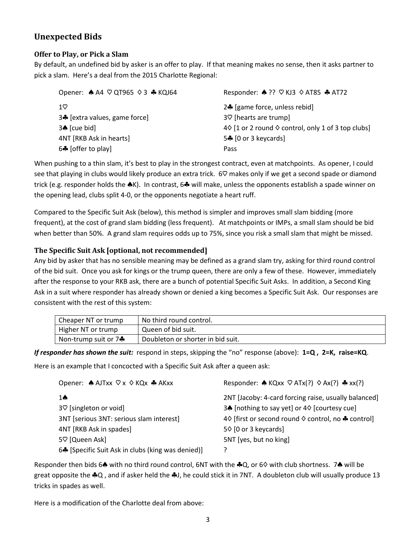### **Unexpected Bids**

#### **Offer to Play, or Pick a Slam**

By default, an undefined bid by asker is an offer to play. If that meaning makes no sense, then it asks partner to pick a slam. Here's a deal from the 2015 Charlotte Regional:

| Opener: ♦ A4 ♡ QT965 ◇ 3 ♣ KQJ64 | Responder: $\clubsuit$ ?? $\heartsuit$ KJ3 $\Diamond$ AT85 $\clubsuit$ AT72 |
|----------------------------------|-----------------------------------------------------------------------------|
| 1V                               | 2% [game force, unless rebid]                                               |
| 34 [extra values, game force]    | 30 [hearts are trump]                                                       |
| $3\spadesuit$ [cue bid]          | $4\diamond$ [1 or 2 round $\diamond$ control, only 1 of 3 top clubs]        |
| 4NT [RKB Ask in hearts]          | 5 $\clubsuit$ [0 or 3 keycards]                                             |
| $6\clubsuit$ [offer to play]     | Pass                                                                        |

When pushing to a thin slam, it's best to play in the strongest contract, even at matchpoints. As opener, I could see that playing in clubs would likely produce an extra trick.  $6\heartsuit$  makes only if we get a second spade or diamond trick (e.g. responder holds the  $\clubsuit K$ ). In contrast, 6 $\clubsuit$  will make, unless the opponents establish a spade winner on the opening lead, clubs split 4-0, or the opponents negotiate a heart ruff.

Compared to the Specific Suit Ask (below), this method is simpler and improves small slam bidding (more frequent), at the cost of grand slam bidding (less frequent). At matchpoints or IMPs, a small slam should be bid when better than 50%. A grand slam requires odds up to 75%, since you risk a small slam that might be missed.

#### **The Specific Suit Ask [optional, not recommended]**

Any bid by asker that has no sensible meaning may be defined as a grand slam try, asking for third round control of the bid suit. Once you ask for kings or the trump queen, there are only a few of these. However, immediately after the response to your RKB ask, there are a bunch of potential Specific Suit Asks. In addition, a Second King Ask in a suit where responder has already shown or denied a king becomes a Specific Suit Ask. Our responses are consistent with the rest of this system:

| Cheaper NT or trump            | No third round control.           |
|--------------------------------|-----------------------------------|
| Higher NT or trump             | Queen of bid suit.                |
| Non-trump suit or $7\clubsuit$ | Doubleton or shorter in bid suit. |

*If responder has shown the suit:* respond in steps, skipping the "no" response (above): **1=Q , 2=K, raise=KQ**.

Here is an example that I concocted with a Specific Suit Ask after a queen ask:

| Opener: ♦ AJTxx ♡ x ◇ KQx ♣ AKxx                  | Responder: $\triangle$ KQxx $\heartsuit$ ATx(?) $\diamond$ Ax(?) $\triangleq$ xx(?) |  |
|---------------------------------------------------|-------------------------------------------------------------------------------------|--|
| 14                                                | 2NT [Jacoby: 4-card forcing raise, usually balanced]                                |  |
| 3º [singleton or void]                            | 34 [nothing to say yet] or $4\diamond$ [courtesy cue]                               |  |
| 3NT [serious 3NT: serious slam interest]          | 40 [first or second round $\Diamond$ control, no $\clubsuit$ control]               |  |
| 4NT [RKB Ask in spades]                           | 5♦ [0 or 3 keycards]                                                                |  |
| 5º [Queen Ask]                                    | 5NT [yes, but no king]                                                              |  |
| 6* [Specific Suit Ask in clubs (king was denied)] | 2                                                                                   |  |

Responder then bids 64 with no third round control, 6NT with the  $\clubsuit Q$ , or 6 $\diamond$  with club shortness. 74 will be great opposite the  $\clubsuit Q$ , and if asker held the  $\clubsuit J$ , he could stick it in 7NT. A doubleton club will usually produce 13 tricks in spades as well.

Here is a modification of the Charlotte deal from above: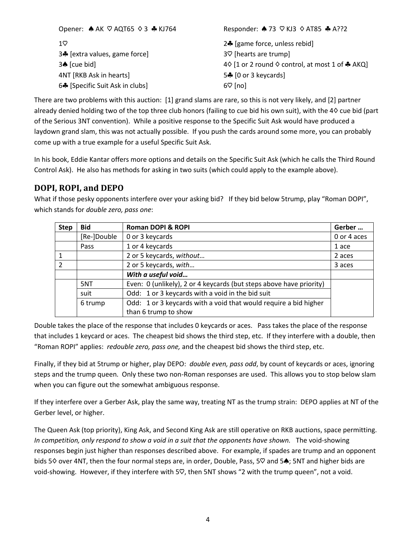| Opener: $\spadesuit$ AK $\heartsuit$ AQT65 $\lozenge$ 3 $\clubsuit$ KJ764 | Responder: $\spadesuit$ 73 $\heartsuit$ KJ3 $\lozenge$ AT85 $\clubsuit$ A??2 |
|---------------------------------------------------------------------------|------------------------------------------------------------------------------|
| 17                                                                        | 2% [game force, unless rebid]                                                |
| 34 [extra values, game force]                                             | 30 [hearts are trump]                                                        |
| 3 $\spadesuit$ [cue bid]                                                  | 4 $\Diamond$ [1 or 2 round $\Diamond$ control, at most 1 of $\clubsuit$ AKQ] |
| 4NT [RKB Ask in hearts]                                                   | 5 $\clubsuit$ [0 or 3 keycards]                                              |
| 6 [Specific Suit Ask in clubs]                                            | $6\degree$ [no]                                                              |

There are two problems with this auction: [1] grand slams are rare, so this is not very likely, and [2] partner already denied holding two of the top three club honors (failing to cue bid his own suit), with the  $4\diamond$  cue bid (part of the Serious 3NT convention). While a positive response to the Specific Suit Ask would have produced a laydown grand slam, this was not actually possible. If you push the cards around some more, you can probably come up with a true example for a useful Specific Suit Ask.

In his book, Eddie Kantar offers more options and details on the Specific Suit Ask (which he calls the Third Round Control Ask). He also has methods for asking in two suits (which could apply to the example above).

#### **DOPI, ROPI, and DEPO**

What if those pesky opponents interfere over your asking bid? If they bid below 5trump, play "Roman DOPI", which stands for *double zero, pass one*:

| <b>Step</b>    | <b>Bid</b>  | <b>Roman DOPI &amp; ROPI</b>                                        | Gerber      |
|----------------|-------------|---------------------------------------------------------------------|-------------|
|                | [Re-]Double | 0 or 3 keycards                                                     | 0 or 4 aces |
|                | Pass        | 1 or 4 keycards                                                     | 1 ace       |
|                |             | 2 or 5 keycards, without                                            | 2 aces      |
| $\overline{2}$ |             | 2 or 5 keycards, with                                               | 3 aces      |
|                |             | With a useful void                                                  |             |
|                | 5NT         | Even: 0 (unlikely), 2 or 4 keycards (but steps above have priority) |             |
|                | suit        | Odd: 1 or 3 keycards with a void in the bid suit                    |             |
|                | 6 trump     | Odd: 1 or 3 keycards with a void that would require a bid higher    |             |
|                |             | than 6 trump to show                                                |             |

Double takes the place of the response that includes 0 keycards or aces. Pass takes the place of the response that includes 1 keycard or aces. The cheapest bid shows the third step, etc. If they interfere with a double, then "Roman ROPI" applies: *redouble zero, pass one,* and the cheapest bid shows the third step, etc.

Finally, if they bid at 5trump or higher, play DEPO: *double even, pass odd*, by count of keycards or aces, ignoring steps and the trump queen. Only these two non-Roman responses are used. This allows you to stop below slam when you can figure out the somewhat ambiguous response.

If they interfere over a Gerber Ask, play the same way, treating NT as the trump strain: DEPO applies at NT of the Gerber level, or higher.

The Queen Ask (top priority), King Ask, and Second King Ask are still operative on RKB auctions, space permitting. *In competition, only respond to show a void in a suit that the opponents have shown.* The void-showing responses begin just higher than responses described above. For example, if spades are trump and an opponent bids 5 $\lozenge$  over 4NT, then the four normal steps are, in order, Double, Pass, 5 $\heartsuit$  and 5 $\spadesuit$ ; 5NT and higher bids are void-showing. However, if they interfere with  $5\heartsuit$ , then 5NT shows "2 with the trump queen", not a void.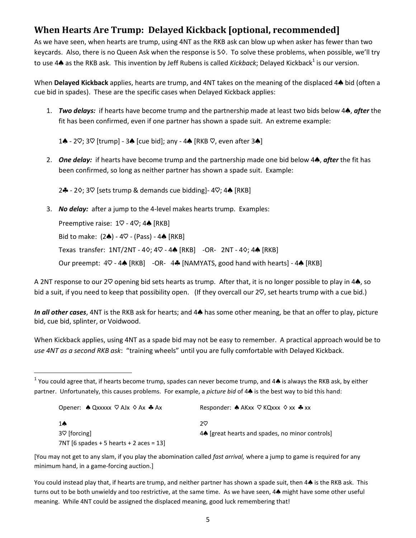## **When Hearts Are Trump: Delayed Kickback [optional, recommended]**

As we have seen, when hearts are trump, using 4NT as the RKB ask can blow up when asker has fewer than two keycards. Also, there is no Queen Ask when the response is 50. To solve these problems, when possible, we'll try to use 4 $\spadesuit$  as the RKB ask. This invention by Jeff Rubens is called *Kickback*; Delayed Kickback<sup>1</sup> is our version.

When **Delaved Kickback** applies, hearts are trump, and 4NT takes on the meaning of the displaced 4<sup>th</sup> bid (often a cue bid in spades). These are the specific cases when Delayed Kickback applies:

- 1. **Two delays:** if hearts have become trump and the partnership made at least two bids below 4<sup>t</sup>, after the fit has been confirmed, even if one partner has shown a spade suit. An extreme example:
	- 1 $\triangle$  2 $\heartsuit$ ; 3 $\heartsuit$  [trump] 3 $\triangle$  [cue bid]; any 4 $\triangle$  [RKB  $\heartsuit$ , even after 3 $\triangle$ ]
- 2. **One delay:** if hearts have become trump and the partnership made one bid below 4<sup>t</sup>, after the fit has been confirmed, so long as neither partner has shown a spade suit. Example:

24 - 2 $\diamond$ ; 3 $\hearts$  [sets trump & demands cue bidding]-4 $\heartsuit$ ; 4 $\spadesuit$  [RKB]

3. *No delay:* after a jump to the 4-level makes hearts trump. Examples:

 $\overline{a}$ 

Preemptive raise:  $1\heartsuit$  -  $4\heartsuit$ ;  $4\spadesuit$  [RKB] Bid to make:  $(2\spadesuit) - 4\nabla - (Pass) - 4\spadesuit$  [RKB] Texas transfer:  $1NT/2NT - 4\diamond$ ;  $4\diamondsuit - 4\spadesuit$  [RKB] -OR- 2NT -  $4\diamond$ ;  $4\spadesuit$  [RKB] Our preempt:  $4\heartsuit - 4\spadesuit$  [RKB] -OR-  $4\clubsuit$  [NAMYATS, good hand with hearts] -  $4\spadesuit$  [RKB]

A 2NT response to our 2 $\heartsuit$  opening bid sets hearts as trump. After that, it is no longer possible to play in 4 $\spadesuit$ , so bid a suit, if you need to keep that possibility open. (If they overcall our  $2\heartsuit$ , set hearts trump with a cue bid.)

In all other cases, 4NT is the RKB ask for hearts; and 4<sup>4</sup> has some other meaning, be that an offer to play, picture bid, cue bid, splinter, or Voidwood.

When Kickback applies, using 4NT as a spade bid may not be easy to remember. A practical approach would be to *use 4NT as a second RKB ask*: "training wheels" until you are fully comfortable with Delayed Kickback.

<sup>&</sup>lt;sup>1</sup> You could agree that, if hearts become trump, spades can never become trump, and 4 $\spadesuit$  is always the RKB ask, by either partner. Unfortunately, this causes problems. For example, a *picture bid* of 4<sup>t</sup> is the best way to bid this hand:

| Opener: $\triangle Q$ XXXXX $\heartsuit$ AJx $\Diamond$ Ax $\triangle$ Ax | Responder: $\spadesuit$ AKxx $\heartsuit$ KQxxx $\diamondsuit$ xx $\clubsuit$ xx |  |
|---------------------------------------------------------------------------|----------------------------------------------------------------------------------|--|
| 14                                                                        | 20                                                                               |  |
| 30 [forcing]                                                              | 4 <sup>t</sup> [great hearts and spades, no minor controls]                      |  |
| 7NT [6 spades + 5 hearts + 2 aces = 13]                                   |                                                                                  |  |

[You may not get to any slam, if you play the abomination called *fast arrival,* where a jump to game is required for any minimum hand, in a game-forcing auction.]

You could instead play that, if hearts are trump, and neither partner has shown a spade suit, then 44 is the RKB ask. This turns out to be both unwieldy and too restrictive, at the same time. As we have seen, 44 might have some other useful meaning. While 4NT could be assigned the displaced meaning, good luck remembering that!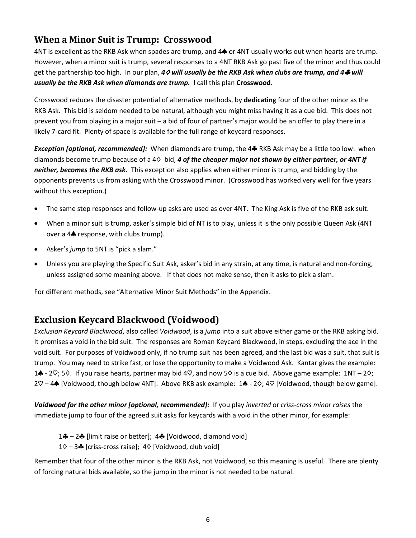## **When a Minor Suit is Trump: Crosswood**

4NT is excellent as the RKB Ask when spades are trump, and 44 or 4NT usually works out when hearts are trump. However, when a minor suit is trump, several responses to a 4NT RKB Ask go past five of the minor and thus could get the partnership too high. In our plan, 40 will usually be the RKB Ask when clubs are trump, and 44 will *usually be the RKB Ask when diamonds are trump.* I call this plan **Crosswood**.

Crosswood reduces the disaster potential of alternative methods, by **dedicating** four of the other minor as the RKB Ask. This bid is seldom needed to be natural, although you might miss having it as a cue bid. This does not prevent you from playing in a major suit – a bid of four of partner's major would be an offer to play there in a likely 7-card fit. Plenty of space is available for the full range of keycard responses.

**Exception [optional, recommended]:** When diamonds are trump, the 4<sup>2</sup> RKB Ask may be a little too low: when diamonds become trump because of a 4 $\Diamond$  bid, 4 of the cheaper major not shown by either partner, or 4NT if *neither, becomes the RKB ask.* This exception also applies when either minor is trump, and bidding by the opponents prevents us from asking with the Crosswood minor. (Crosswood has worked very well for five years without this exception.)

- The same step responses and follow-up asks are used as over 4NT. The King Ask is five of the RKB ask suit.
- When a minor suit is trump, asker's simple bid of NT is to play, unless it is the only possible Queen Ask (4NT over a  $4\spadesuit$  response, with clubs trump).
- Asker's *jump* to 5NT is "pick a slam."
- Unless you are playing the Specific Suit Ask, asker's bid in any strain, at any time, is natural and non-forcing, unless assigned some meaning above. If that does not make sense, then it asks to pick a slam.

For different methods, see "Alternative Minor Suit Methods" in the Appendix.

### **Exclusion Keycard Blackwood (Voidwood)**

*Exclusion Keycard Blackwood*, also called *Voidwood*, is a *jump* into a suit above either game or the RKB asking bid. It promises a void in the bid suit. The responses are Roman Keycard Blackwood, in steps, excluding the ace in the void suit. For purposes of Voidwood only, if no trump suit has been agreed, and the last bid was a suit, that suit is trump. You may need to strike fast, or lose the opportunity to make a Voidwood Ask. Kantar gives the example: 14 - 2 $\heartsuit$ ; 5 $\diamond$ . If you raise hearts, partner may bid 4 $\heartsuit$ , and now 5 $\diamond$  is a cue bid. Above game example: 1NT – 2 $\diamond$ ;  $2\heartsuit - 4\spadesuit$  [Voidwood, though below 4NT]. Above RKB ask example:  $1\spadesuit$  - 2 $\diamondsuit$ ; 4 $\heartsuit$  [Voidwood, though below game].

*Voidwood for the other minor [optional, recommended]:* If you play *inverted* or *criss-cross minor raises* the immediate jump to four of the agreed suit asks for keycards with a void in the other minor, for example:

- 1 $\clubsuit$  2 $\clubsuit$  [limit raise or better]; 4 $\clubsuit$  [Voidwood, diamond void]
- 1 $\lozenge$  3 $\clubsuit$  [criss-cross raise]; 4 $\lozenge$  [Voidwood, club void]

Remember that four of the other minor is the RKB Ask, not Voidwood, so this meaning is useful. There are plenty of forcing natural bids available, so the jump in the minor is not needed to be natural.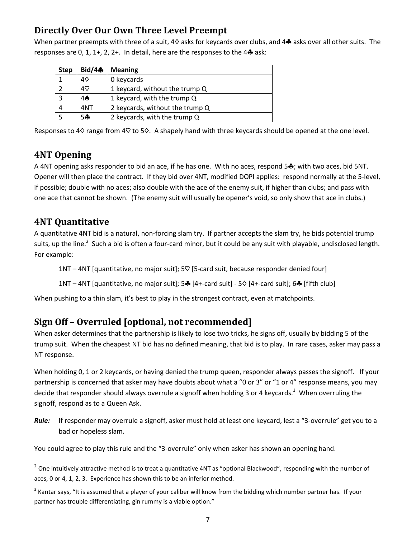## **Directly Over Our Own Three Level Preempt**

When partner preempts with three of a suit,  $4\diamond$  asks for keycards over clubs, and  $4\clubsuit$  asks over all other suits. The responses are 0, 1, 1+, 2, 2+. In detail, here are the responses to the  $4\clubsuit$  ask:

| <b>Step</b> | Bid/4 $\clubsuit$ | <b>Meaning</b>                  |
|-------------|-------------------|---------------------------------|
|             | 40                | 0 keycards                      |
|             | 40                | 1 keycard, without the trump Q  |
| 3           | 4 <sub>•</sub>    | 1 keycard, with the trump Q     |
| 4           | 4NT               | 2 keycards, without the trump Q |
|             | 5÷                | 2 keycards, with the trump Q    |

Responses to 4 $\Diamond$  range from 4 $\Diamond$  to 5 $\Diamond$ . A shapely hand with three keycards should be opened at the one level.

### **4NT Opening**

A 4NT opening asks responder to bid an ace, if he has one. With no aces, respond  $5\clubsuit$ ; with two aces, bid 5NT. Opener will then place the contract. If they bid over 4NT, modified DOPI applies: respond normally at the 5-level, if possible; double with no aces; also double with the ace of the enemy suit, if higher than clubs; and pass with one ace that cannot be shown. (The enemy suit will usually be opener's void, so only show that ace in clubs.)

### **4NT Quantitative**

 $\overline{a}$ 

A quantitative 4NT bid is a natural, non-forcing slam try. If partner accepts the slam try, he bids potential trump suits, up the line.<sup>2</sup> Such a bid is often a four-card minor, but it could be any suit with playable, undisclosed length. For example:

 $1NT - 4NT$  [quantitative, no major suit];  $5\heartsuit$  [5-card suit, because responder denied four]

1NT – 4NT [quantitative, no major suit];  $5\clubsuit$  [4+-card suit] - 5 $\diamond$  [4+-card suit]; 6 $\clubsuit$  [fifth club]

When pushing to a thin slam, it's best to play in the strongest contract, even at matchpoints.

## **Sign Off – Overruled [optional, not recommended]**

When asker determines that the partnership is likely to lose two tricks, he signs off, usually by bidding 5 of the trump suit. When the cheapest NT bid has no defined meaning, that bid is to play. In rare cases, asker may pass a NT response.

When holding 0, 1 or 2 keycards, or having denied the trump queen, responder always passes the signoff. If your partnership is concerned that asker may have doubts about what a "0 or 3" or "1 or 4" response means, you may decide that responder should always overrule a signoff when holding 3 or 4 keycards.<sup>3</sup> When overruling the signoff, respond as to a Queen Ask.

*Rule:* If responder may overrule a signoff, asker must hold at least one keycard, lest a "3-overrule" get you to a bad or hopeless slam.

You could agree to play this rule and the "3-overrule" only when asker has shown an opening hand.

<sup>&</sup>lt;sup>2</sup> One intuitively attractive method is to treat a quantitative 4NT as "optional Blackwood", responding with the number of aces, 0 or 4, 1, 2, 3. Experience has shown this to be an inferior method.

 $3$  Kantar says, "It is assumed that a player of your caliber will know from the bidding which number partner has. If your partner has trouble differentiating, gin rummy is a viable option."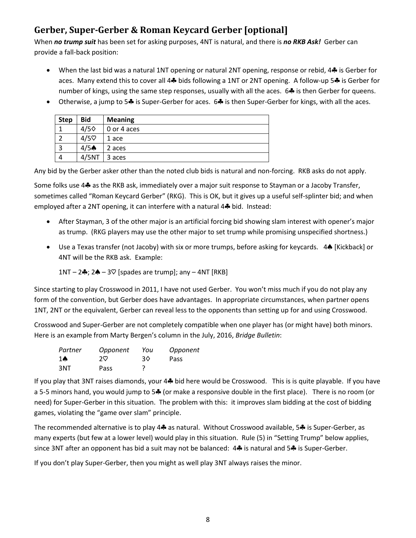## **Gerber, Super-Gerber & Roman Keycard Gerber [optional]**

When *no trump suit* has been set for asking purposes, 4NT is natural, and there is *no RKB Ask!* Gerber can provide a fall-back position:

- When the last bid was a natural 1NT opening or natural 2NT opening, response or rebid,  $4\clubsuit$  is Gerber for aces. Many extend this to cover all 44 bids following a 1NT or 2NT opening. A follow-up 54 is Gerber for number of kings, using the same step responses, usually with all the aces.  $6\clubsuit$  is then Gerber for queens.
- Otherwise, a jump to 5 $\clubsuit$  is Super-Gerber for aces.  $6\clubsuit$  is then Super-Gerber for kings, with all the aces.

| <b>Step</b> | <b>Bid</b>    | <b>Meaning</b> |
|-------------|---------------|----------------|
|             | $4/5\diamond$ | 0 or 4 aces    |
|             | 4/5           | 1 ace          |
|             | 4/5           | 2 aces         |
| 4           | 4/5NT         | 3 aces         |

Any bid by the Gerber asker other than the noted club bids is natural and non-forcing. RKB asks do not apply.

Some folks use 4<sup>2</sup> as the RKB ask, immediately over a major suit response to Stayman or a Jacoby Transfer, sometimes called "Roman Keycard Gerber" (RKG). This is OK, but it gives up a useful self-splinter bid; and when employed after a 2NT opening, it can interfere with a natural 4<sup>t</sup> bid. Instead:

- After Stayman, 3 of the other major is an artificial forcing bid showing slam interest with opener's major as trump. (RKG players may use the other major to set trump while promising unspecified shortness.)
- Use a Texas transfer (not Jacoby) with six or more trumps, before asking for keycards. 44 [Kickback] or 4NT will be the RKB ask. Example:

1NT – 2 $\clubsuit$ ; 2 $\spadesuit$  – 3 $\heartsuit$  [spades are trump]; any – 4NT [RKB]

Since starting to play Crosswood in 2011, I have not used Gerber. You won't miss much if you do not play any form of the convention, but Gerber does have advantages. In appropriate circumstances, when partner opens 1NT, 2NT or the equivalent, Gerber can reveal less to the opponents than setting up for and using Crosswood.

Crosswood and Super-Gerber are not completely compatible when one player has (or might have) both minors. Here is an example from Marty Bergen's column in the July, 2016, *Bridge Bulletin*:

| Partner        | Opponent | You | Opponent |
|----------------|----------|-----|----------|
| 1 $\spadesuit$ | 20.      | 30  | Pass     |
| 3NT            | Pass     |     |          |

If you play that 3NT raises diamonds, your  $4\clubsuit$  bid here would be Crosswood. This is is quite playable. If you have a 5-5 minors hand, you would jump to 54 (or make a responsive double in the first place). There is no room (or need) for Super-Gerber in this situation. The problem with this: it improves slam bidding at the cost of bidding games, violating the "game over slam" principle.

The recommended alternative is to play  $4\clubsuit$  as natural. Without Crosswood available,  $5\clubsuit$  is Super-Gerber, as many experts (but few at a lower level) would play in this situation. Rule [\(5\)](#page-8-0) in "Setting Trump" below applies, since 3NT after an opponent has bid a suit may not be balanced:  $4\clubsuit$  is natural and  $5\clubsuit$  is Super-Gerber.

If you don't play Super-Gerber, then you might as well play 3NT always raises the minor.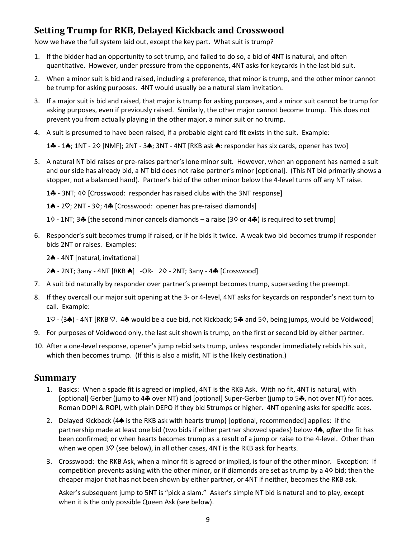## **Setting Trump for RKB, Delayed Kickback and Crosswood**

Now we have the full system laid out, except the key part. What suit is trump?

- 1. If the bidder had an opportunity to set trump, and failed to do so, a bid of 4NT is natural, and often quantitative. However, under pressure from the opponents, 4NT asks for keycards in the last bid suit.
- 2. When a minor suit is bid and raised, including a preference, that minor is trump, and the other minor cannot be trump for asking purposes. 4NT would usually be a natural slam invitation.
- 3. If a major suit is bid and raised, that major is trump for asking purposes, and a minor suit cannot be trump for asking purposes, even if previously raised. Similarly, the other major cannot become trump. This does not prevent you from actually playing in the other major, a minor suit or no trump.
- 4. A suit is presumed to have been raised, if a probable eight card fit exists in the suit. Example:

1 $\clubsuit$  - 1 $\spadesuit$ ; 1NT - 2 $\lozenge$  [NMF]; 2NT - 3 $\spadesuit$ ; 3NT - 4NT [RKB ask  $\spadesuit$ : responder has six cards, opener has two]

<span id="page-8-0"></span>5. A natural NT bid raises or pre-raises partner's lone minor suit. However, when an opponent has named a suit and our side has already bid, a NT bid does not raise partner's minor [optional]. (This NT bid primarily shows a stopper, not a balanced hand). Partner's bid of the other minor below the 4-level turns off any NT raise.

1. - 3NT; 4 $\diamond$  [Crosswood: responder has raised clubs with the 3NT response]

1 $\spadesuit$  - 2 $\heartsuit$ ; 2NT - 3 $\diamond$ ; 4 $\clubsuit$  [Crosswood: opener has pre-raised diamonds]

1 $\lozenge$  - 1NT; 3 $\clubsuit$  [the second minor cancels diamonds – a raise (3 $\lozenge$  or 4 $\clubsuit$ ) is required to set trump]

6. Responder's suit becomes trump if raised, or if he bids it twice. A weak two bid becomes trump if responder bids 2NT or raises. Examples:

24 - 4NT [natural, invitational]

- 2 $\spadesuit$  2NT; 3any 4NT [RKB $\spadesuit$ ] -OR- 2 $\lozenge$  2NT; 3any 4 $\clubsuit$  [Crosswood]
- 7. A suit bid naturally by responder over partner's preempt becomes trump, superseding the preempt.
- 8. If they overcall our major suit opening at the 3- or 4-level, 4NT asks for keycards on responder's next turn to call. Example:

1 $\heartsuit$  - (3 $\spadesuit$ ) - 4NT [RKB  $\heartsuit$ . 4 $\spadesuit$  would be a cue bid, not Kickback; 5 $\clubsuit$  and 5 $\lozenge$ , being jumps, would be Voidwood]

- 9. For purposes of Voidwood only, the last suit shown is trump, on the first or second bid by either partner.
- 10. After a one-level response, opener's jump rebid sets trump, unless responder immediately rebids his suit, which then becomes trump. (If this is also a misfit, NT is the likely destination.)

#### **Summary**

- 1. Basics: When a spade fit is agreed or implied, 4NT is the RKB Ask. With no fit, 4NT is natural, with [optional] Gerber (jump to 4\* over NT) and [optional] Super-Gerber (jump to 5\*, not over NT) for aces. Roman DOPI & ROPI, with plain DEPO if they bid 5trumps or higher. 4NT opening asks for specific aces.
- 2. Delayed Kickback (4 $\spadesuit$  is the RKB ask with hearts trump) [optional, recommended] applies: if the partnership made at least one bid (two bids if either partner showed spades) below 4<sup>,</sup> after the fit has been confirmed; or when hearts becomes trump as a result of a jump or raise to the 4-level. Other than when we open  $3\heartsuit$  (see below), in all other cases, 4NT is the RKB ask for hearts.
- 3. Crosswood: the RKB Ask, when a minor fit is agreed or implied, is four of the other minor. Exception: If competition prevents asking with the other minor, or if diamonds are set as trump by a  $4\diamond$  bid; then the cheaper major that has not been shown by either partner, or 4NT if neither, becomes the RKB ask.

Asker's subsequent jump to 5NT is "pick a slam." Asker's simple NT bid is natural and to play, except when it is the only possible Queen Ask (see below).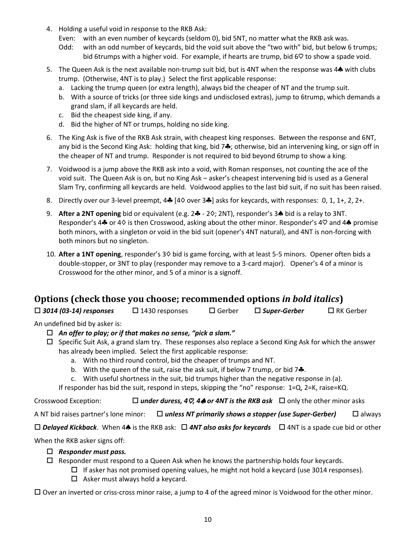4. Holding a useful void in response to the RKB Ask:

Even: with an even number of keycards (seldom 0), bid 5NT, no matter what the RKB ask was.

- Odd: with an odd number of keycards, bid the void suit above the "two with" bid, but below 6 trumps; bid 6trumps with a higher void. For example, if hearts are trump, bid  $6\heartsuit$  to show a spade void.
- 5. The Queen Ask is the next available non-trump suit bid, but is 4NT when the response was  $4\spadesuit$  with clubs trump. (Otherwise, 4NT is to play.) Select the first applicable response:
	- a. Lacking the trump queen (or extra length), always bid the cheaper of NT and the trump suit.
	- b. With a source of tricks (or three side kings and undisclosed extras), jump to 6trump, which demands a grand slam, if all keycards are held.
	- c. Bid the cheapest side king, if any.
	- d. Bid the higher of NT or trumps, holding no side king.
- 6. The King Ask is five of the RKB Ask strain, with cheapest king responses. Between the response and 6NT, any bid is the Second King Ask: holding that king, bid  $7\cdot\cdot$ ; otherwise, bid an intervening king, or sign off in the cheaper of NT and trump. Responder is not required to bid beyond 6trump to show a king.
- 7. Voidwood is a jump above the RKB ask into a void, with Roman responses, not counting the ace of the void suit. The Queen Ask is on, but no King Ask – asker's cheapest intervening bid is used as a General Slam Try, confirming all keycards are held. Voidwood applies to the last bid suit, if no suit has been raised.
- 8. Directly over our 3-level preempt,  $4\clubsuit$  [4 $\diamond$  over  $3\clubsuit$ ] asks for keycards, with responses: 0, 1, 1+, 2, 2+.
- 9. After a 2NT opening bid or equivalent (e.g. 2<sup>2</sup> 2 $\Diamond$ ; 2NT), responder's 3<sup>2</sup> bid is a relay to 3NT. Responder's 4 $\clubsuit$  or 4 $\diamond$  is then Crosswood, asking about the other minor. Responder's 4 $\heartsuit$  and 4 $\spadesuit$  promise both minors, with a singleton or void in the bid suit (opener's 4NT natural), and 4NT is non-forcing with both minors but no singleton.
- 10. **After a 1NT opening**, responder's 3 $\diamond$  bid is game forcing, with at least 5-5 minors. Opener often bids a double-stopper, or 3NT to play (responder may remove to a 3-card major). Opener's 4 of a minor is Crosswood for the other minor, and 5 of a minor is a signoff.

## **Options (check those you choose; recommended options** *in bold italics***)**

*3014 (03-14) responses* 1430 responses Gerber *Super-Gerber* RK Gerber

An undefined bid by asker is:

- *An offer to play; or if that makes no sense, "pick a slam."*
- $\Box$  Specific Suit Ask, a grand slam try. These responses also replace a Second King Ask for which the answer has already been implied. Select the first applicable response:
	- a. With no third round control, bid the cheaper of trumps and NT.
	- b. With the queen of the suit, raise the ask suit, if below 7 trump, or bid  $7\clubsuit$ .
	- c. With useful shortness in the suit, bid trumps higher than the negative response in (a).
	- If responder has bid the suit, respond in steps, skipping the "no" response: 1=Q, 2=K, raise=KQ.

Crosswood Exception:  $\square$  *under duress, 4* $\heartsuit$ *, 44 or 4NT is the RKB ask* $\square$  **only the other minor asks** 

A NT bid raises partner's lone minor:  $□$  *unless NT primarily shows a stopper (use Super-Gerber)*  $□$  always

#### *Delayed Kickback*. When 4♣ is the RKB ask: *D* **4NT also asks for keycards D** 4NT is a spade cue bid or other

When the RKB asker signs off:

#### *Responder must pass.*

- $\Box$  Responder must respond to a Queen Ask when he knows the partnership holds four keycards.
	- $\Box$  If asker has not promised opening values, he might not hold a keycard (use 3014 responses).
	- $\Box$  Asker must always hold a keycard.

Over an inverted or criss-cross minor raise, a jump to 4 of the agreed minor is Voidwood for the other minor.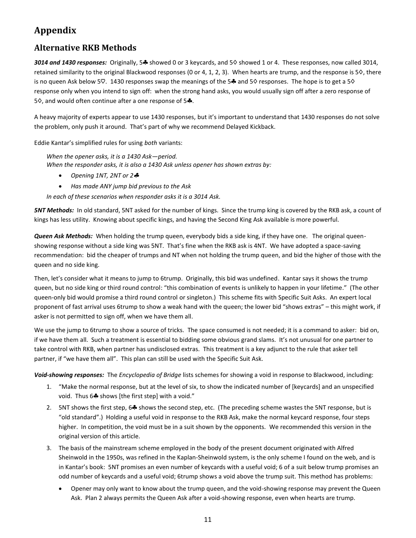## **Appendix**

## **Alternative RKB Methods**

3014 and 1430 responses: Originally, 5 $\clubsuit$  showed 0 or 3 keycards, and 5 $\diamond$  showed 1 or 4. These responses, now called 3014, retained similarity to the original Blackwood responses (0 or 4, 1, 2, 3). When hearts are trump, and the response is  $5\diamond$ , there is no queen Ask below 5 $\heartsuit$ . 1430 responses swap the meanings of the 5 $\clubsuit$  and 5 $\lozenge$  responses. The hope is to get a 5 $\lozenge$ response only when you intend to sign off: when the strong hand asks, you would usually sign off after a zero response of 5 $\lozenge$ , and would often continue after a one response of 5 $\clubsuit$ .

A heavy majority of experts appear to use 1430 responses, but it's important to understand that 1430 responses do not solve the problem, only push it around. That's part of why we recommend Delayed Kickback.

Eddie Kantar's simplified rules for using *both* variants:

*When the opener asks, it is a 1430 Ask—period. When the responder asks, it is also a 1430 Ask unless opener has shown extras by:* 

- $\bullet$  *Opening 1NT, 2NT or 24*
- *Has made ANY jump bid previous to the Ask*

*In each of these scenarios when responder asks it is a 3014 Ask.*

*5NT Methods:* In old standard, 5NT asked for the number of kings. Since the trump king is covered by the RKB ask, a count of kings has less utility. Knowing about specific kings, and having the Second King Ask available is more powerful.

*Queen Ask Methods:* When holding the trump queen, everybody bids a side king, if they have one. The original queenshowing response without a side king was 5NT. That's fine when the RKB ask is 4NT. We have adopted a space-saving recommendation: bid the cheaper of trumps and NT when not holding the trump queen, and bid the higher of those with the queen and no side king.

Then, let's consider what it means to jump to 6trump. Originally, this bid was undefined. Kantar says it shows the trump queen, but no side king or third round control: "this combination of events is unlikely to happen in your lifetime." (The other queen-only bid would promise a third round control or singleton.) This scheme fits with Specific Suit Asks. An expert local proponent of fast arrival uses 6trump to show a weak hand with the queen; the lower bid "shows extras" – this might work, if asker is not permitted to sign off, when we have them all.

We use the jump to 6trump to show a source of tricks. The space consumed is not needed; it is a command to asker: bid on, if we have them all. Such a treatment is essential to bidding some obvious grand slams. It's not unusual for one partner to take control with RKB, when partner has undisclosed extras. This treatment is a key adjunct to the rule that asker tell partner, if "we have them all". This plan can still be used with the Specific Suit Ask.

*Void-showing responses:* The *Encyclopedia of Bridge* lists schemes for showing a void in response to Blackwood, including:

- 1. "Make the normal response, but at the level of six, to show the indicated number of [keycards] and an unspecified void. Thus  $6\clubsuit$  shows [the first step] with a void."
- 2. 5NT shows the first step, 6<sup>%</sup> shows the second step, etc. (The preceding scheme wastes the 5NT response, but is "old standard".) Holding a useful void in response to the RKB Ask, make the normal keycard response, four steps higher. In competition, the void must be in a suit shown by the opponents. We recommended this version in the original version of this article.
- 3. The basis of the mainstream scheme employed in the body of the present document originated with Alfred Sheinwold in the 1950s, was refined in the Kaplan-Sheinwold system, is the only scheme I found on the web, and is in Kantar's book: 5NT promises an even number of keycards with a useful void; 6 of a suit below trump promises an odd number of keycards and a useful void; 6trump shows a void above the trump suit. This method has problems:
	- Opener may only want to know about the trump queen, and the void-showing response may prevent the Queen Ask. Plan 2 always permits the Queen Ask after a void-showing response, even when hearts are trump.